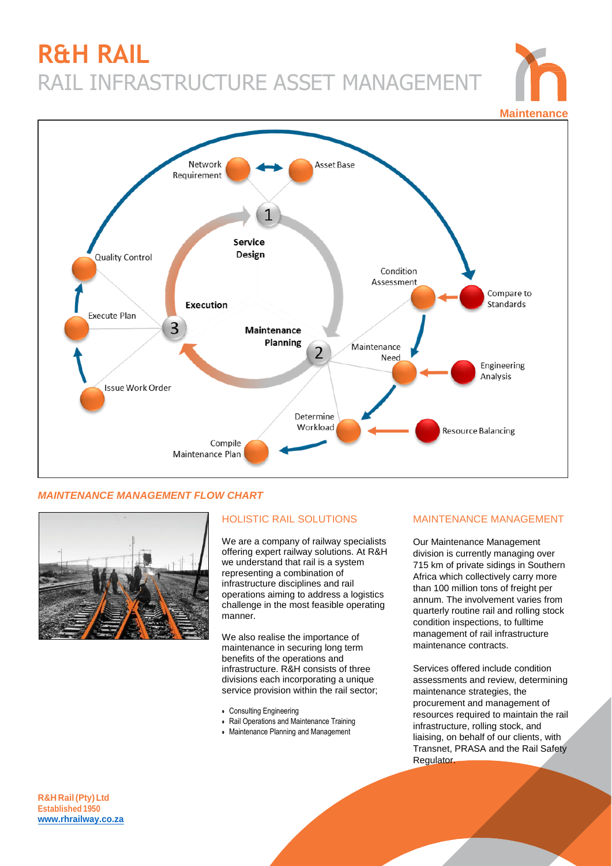# **R&H RAIL** RAIL INFRASTRUCTURE ASSET MANAGEMENT





## *MAINTENANCE MANAGEMENT FLOW CHART*



# HOLISTIC RAIL SOLUTIONS

We are a company of railway specialists offering expert railway solutions. At R&H we understand that rail is a system representing a combination of infrastructure disciplines and rail operations aiming to address a logistics challenge in the most feasible operating manner.

We also realise the importance of maintenance in securing long term benefits of the operations and infrastructure. R&H consists of three divisions each incorporating a unique service provision within the rail sector;

- Consulting Engineering
- Rail Operations and Maintenance Training
- Maintenance Planning and Management

#### MAINTENANCE MANAGEMENT

Our Maintenance Management division is currently managing over 715 km of private sidings in Southern Africa which collectively carry more than 100 million tons of freight per annum. The involvement varies from quarterly routine rail and rolling stock condition inspections, to fulltime management of rail infrastructure maintenance contracts.

Services offered include condition assessments and review, determining maintenance strategies, the procurement and management of resources required to maintain the rail infrastructure, rolling stock, and liaising, on behalf of our clients, with Transnet, PRASA and the Rail Safety Regulator.

**R&H Rail(Pty)Ltd Established 1950 [www.rhrailway.co.za](http://www.rhrailway.co.za/)**